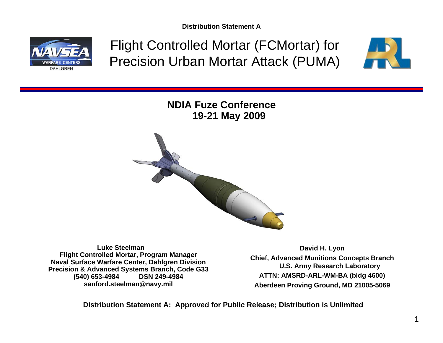

Flight Controlled Mortar (FCMortar) for Precision Urban Mortar Attack (PUMA)



**NDIA Fuze Conference 19-21 May 2009**



**Luke Steelman Flight Controlled Mortar, Program Manager Naval Surface Warfare Center, Dahlgren Division Precision & Advanced Systems Branch, Code G33 (540) 653-4984 sanford.steelman@navy.mil**

**David H. Lyon Chief, Advanced Munitions Concepts Branch U.S. Army Research Laboratory ATTN: AMSRD-ARL-WM-BA (bldg 4600) Aberdeen Proving Ground, MD 21005-5069**

**Distribution Statement A: Approved for Public Release; Distribution is Unlimited**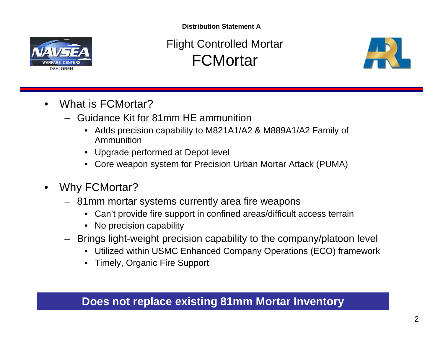

Flight Controlled Mortar **FCMortar** 



- What is FCMortar?
	- Guidance Kit for 81mm HE ammunition
		- Adds precision capability to M821A1/A2 & M889A1/A2 Family of Ammunition
		- Upgrade performed at Depot level
		- Core weapon system for Precision Urban Mortar Attack (PUMA)
- Why FCMortar?
	- 81mm mortar systems currently area fire weapons
		- Can't provide fire support in confined areas/difficult access terrain
		- No precision capability
	- Brings light-weight precision capability to the company/platoon level
		- Utilized within USMC Enhanced Company Operations (ECO) framework
		- Timely, Organic Fire Support

#### **Does not replace existing 81mm Mortar Inventory**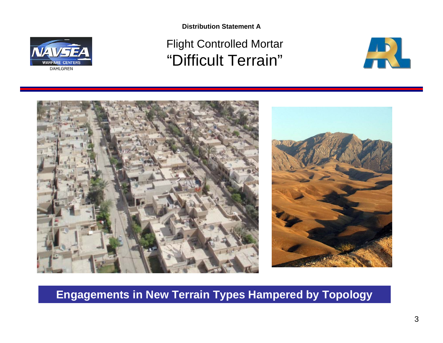

# Flight Controlled Mortar "Difficult Terrain"





#### **Engagements in New Terrain Types Hampered by Topology**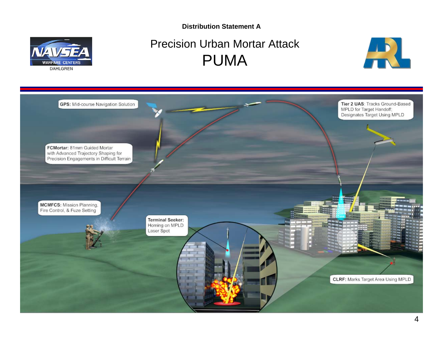

### Precision Urban Mortar Attack PUMA



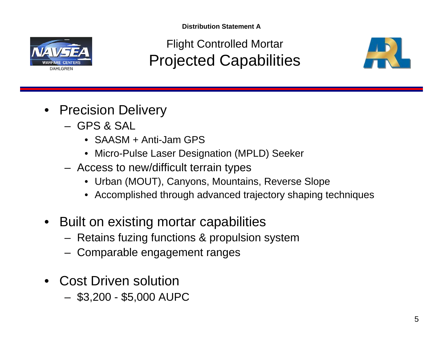Flight Controlled Mortar Projected Capabilities



- Precision Delivery
	- GPS & SAL
		- SAASM + Anti-Jam GPS
		- Micro-Pulse Laser Designation (MPLD) Seeker
	- Access to new/difficult terrain types
		- Urban (MOUT), Canyons, Mountains, Reverse Slope
		- Accomplished through advanced trajectory shaping techniques
- Built on existing mortar capabilities
	- Retains fuzing functions & propulsion system
	- Comparable engagement ranges
- Cost Driven solution
	- \$3,200 \$5,000 AUPC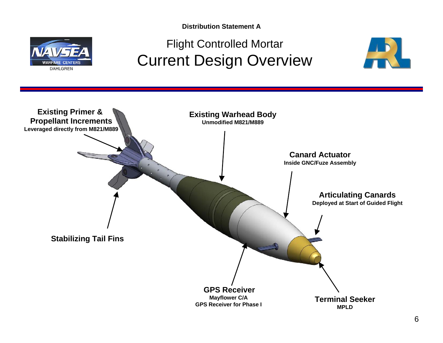

## Flight Controlled Mortar Current Design Overview



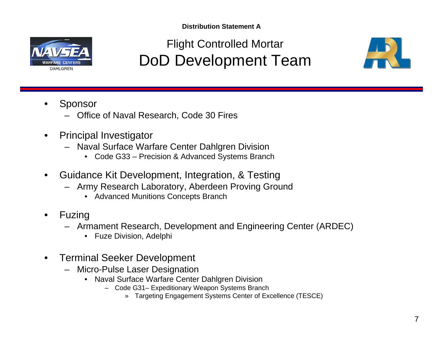

Flight Controlled Mortar DoD Development Team



- **Sponsor** 
	- Office of Naval Research, Code 30 Fires
- Principal Investigator
	- Naval Surface Warfare Center Dahlgren Division
		- Code G33 Precision & Advanced Systems Branch
- Guidance Kit Development, Integration, & Testing
	- Army Research Laboratory, Aberdeen Proving Ground
		- Advanced Munitions Concepts Branch
- **Fuzing** 
	- Armament Research, Development and Engineering Center (ARDEC)
		- Fuze Division, Adelphi
- Terminal Seeker Development
	- Micro-Pulse Laser Designation
		- Naval Surface Warfare Center Dahlgren Division
			- Code G31– Expeditionary Weapon Systems Branch
				- » Targeting Engagement Systems Center of Excellence (TESCE)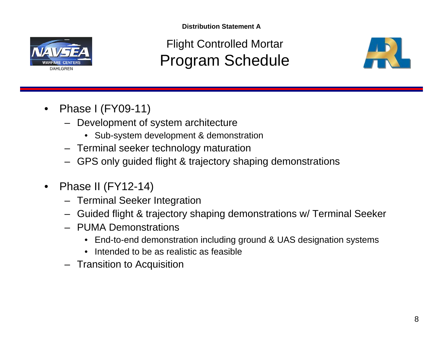

Flight Controlled Mortar Program Schedule



- Phase I (FY09-11)
	- Development of system architecture
		- Sub-system development & demonstration
	- Terminal seeker technology maturation
	- GPS only guided flight & trajectory shaping demonstrations
- Phase II (FY12-14)
	- Terminal Seeker Integration
	- Guided flight & trajectory shaping demonstrations w/ Terminal Seeker
	- PUMA Demonstrations
		- End-to-end demonstration including ground & UAS designation systems
		- Intended to be as realistic as feasible
	- Transition to Acquisition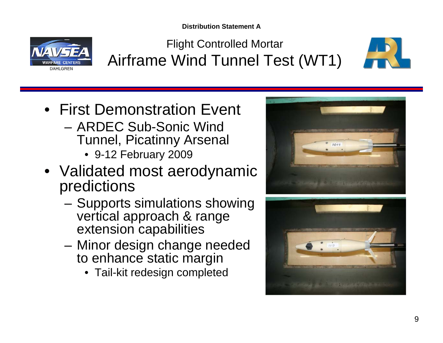

Flight Controlled Mortar Airframe Wind Tunnel Test (WT1)



- First Demonstration Event
	- ARDEC Sub-Sonic Wind Tunnel, Picatinny Arsenal
		- 9-12 February 2009
- Validated most aerodynamic predictions
	- Supports simulations showing vertical approach & range extension capabilities
	- Minor design change needed to enhance static margin
		- Tail-kit redesign completed



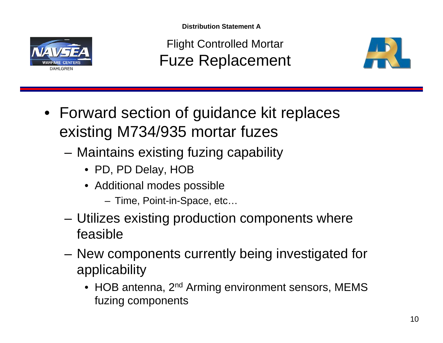

Flight Controlled Mortar Fuze Replacement



- Forward section of guidance kit replaces existing M734/935 mortar fuzes
	- Maintains existing fuzing capability
		- PD, PD Delay, HOB
		- Additional modes possible
			- Time, Point-in-Space, etc…
	- Utilizes existing production components where feasible
	- New components currently being investigated for applicability
		- HOB antenna, 2<sup>nd</sup> Arming environment sensors, MEMS fuzing components